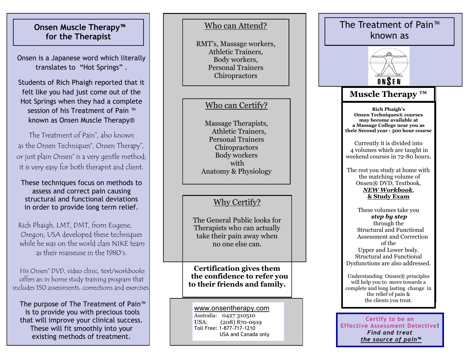## **Onsen Muscle Therapy™ for the Therapist**

Onsen is a Japanese word which literally translates to "Hot Springs" .

Students of Rich Phaigh reported that it felt like you had just come out of the Hot Springs when they had a complete session of his Treatment of Pain ™ known as Onsen Muscle Therapy®

The Treatment of Pain™, also known as the Onsen Techniques®, Onsen Therapy™, or just plain Onsen® is a very gentle method; it is very easy for both therapist and client.

These techniques focus on methods to assess and correct pain causing structural and functional deviations in order to provide long term relief.

Rich Phaigh, LMT, DMT, from Eugene, Oregon, USA developed these techniques while he was on the world class NIKE team as their masseuse in the 1980's.

His Onsen® DVD, video clinic, text/workbooks offers an in home study training program that includes 150 assessments, corrections and exercises.

The purpose of The Treatment of Pain™ is to provide you with precious tools that will improve your clinical success. These will fit smoothly into your existing methods of treatment.

# Who can Attend? RMT's, Massage workers, Athletic Trainers, Body workers, Personal Trainers Chiropractors Who can Certify? Massage Therapists, Athletic Trainers, Personal Trainers **Chiropractors** Body workers with Anatomy & Physiology Why Certify? The General Public looks for Therapists who can actually take their pain away when no one else can. **Certification gives them the confidence to refer you to their friends and family.**

www.onsentherapy.com

Australia: 0427 310510 USA: (208) 870-0919 Toll Free: 1-877-717-1210 USA and Canada only

| The Treatment of Pain <sup>™</sup><br>known as                                                                                                                                                                                                                                                                                                                                                                                                                                                                                                                                                                                                                               |  |
|------------------------------------------------------------------------------------------------------------------------------------------------------------------------------------------------------------------------------------------------------------------------------------------------------------------------------------------------------------------------------------------------------------------------------------------------------------------------------------------------------------------------------------------------------------------------------------------------------------------------------------------------------------------------------|--|
| ⋒<br>ONSEN                                                                                                                                                                                                                                                                                                                                                                                                                                                                                                                                                                                                                                                                   |  |
| TМ<br><b>Muscle Therapy</b>                                                                                                                                                                                                                                                                                                                                                                                                                                                                                                                                                                                                                                                  |  |
| <b>Rich Phaigh's</b><br><b>Onsen Techniques®</b> courses<br>may become available at<br>a Massage College near you as<br>their Second vear : 500 hour course<br>Currently it is divided into<br>4 volumes which are taught in<br>weekend courses in 72-80 hours.<br>The rest you study at home with<br>the matching volume of<br>Onsen® DVD, Textbook,<br><u>NEW Workbook,</u><br>& Study Exam<br>These volumes take you<br>step by step<br>through the<br><b>Structural and Functional</b><br><b>Assessment and Correction</b><br>of the<br>Upper and Lower body.<br><b>Structural and Functional</b><br>Dysfunctions are also addressed.<br>Understanding Onsen® principles |  |
| will help you to move towards a<br>complete and long lasting change in<br>the relief of pain &<br>the clients you treat.                                                                                                                                                                                                                                                                                                                                                                                                                                                                                                                                                     |  |
|                                                                                                                                                                                                                                                                                                                                                                                                                                                                                                                                                                                                                                                                              |  |

**Certify to be an Effective Assessment Detective!** *Find and treat the source of pain™*